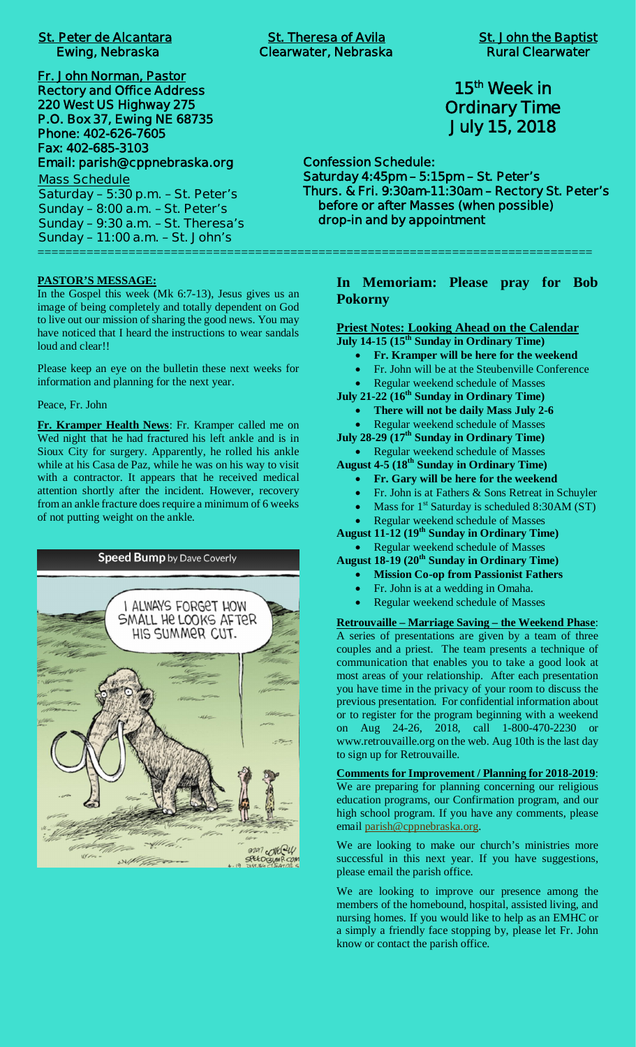# **St. Peter de Alcantara St. Theresa of Avila St. John the Baptist**

**Fr. John Norman, Pastor Rectory and Office Address 220 West US Highway 275 P.O. Box 37, Ewing NE 68735 Phone: 402-626-7605 Fax: 402-685-3103 Email: parish@cppnebraska.org**

**Mass Schedule Saturday – 5:30 p.m. – St. Peter's Sunday – 8:00 a.m. – St. Peter's Sunday – 9:30 a.m. – St. Theresa's Sunday – 11:00 a.m. – St. John's** ===============================================================================

## **PASTOR'S MESSAGE:**

In the Gospel this week (Mk 6:7-13), Jesus gives us an image of being completely and totally dependent on God to live out our mission of sharing the good news. You may have noticed that I heard the instructions to wear sandals loud and clear!!

Please keep an eye on the bulletin these next weeks for information and planning for the next year.

Peace, Fr. John

**Fr. Kramper Health News**: Fr. Kramper called me on Wed night that he had fractured his left ankle and is in Sioux City for surgery. Apparently, he rolled his ankle while at his Casa de Paz, while he was on his way to visit with a contractor. It appears that he received medical attention shortly after the incident. However, recovery from an ankle fracture does require a minimum of 6 weeks of not putting weight on the ankle.



## **15th Week in Ordinary Time July 15, 2018**

**Confession Schedule: Saturday 4:45pm – 5:15pm – St. Peter's Thurs. & Fri. 9:30am-11:30am – Rectory St. Peter's before or after Masses (when possible) drop-in and by appointment**

**In Memoriam: Please pray for Bob Pokorny**

**Priest Notes: Looking Ahead on the Calendar**

- **July 14-15 (15th Sunday in Ordinary Time)**
	- · **Fr. Kramper will be here for the weekend**
	- Fr. John will be at the Steubenville Conference
	- Regular weekend schedule of Masses

**July 21-22 (16th Sunday in Ordinary Time)**

· **There will not be daily Mass July 2-6**

Regular weekend schedule of Masses **July 28-29 (17th Sunday in Ordinary Time)**

· Regular weekend schedule of Masses **August 4-5 (18th Sunday in Ordinary Time)**

- · **Fr. Gary will be here for the weekend**
- Fr. John is at Fathers & Sons Retreat in Schuyler
- Mass for  $1<sup>st</sup>$  Saturday is scheduled 8:30AM (ST)
- Regular weekend schedule of Masses

**August 11-12 (19th Sunday in Ordinary Time)**

· Regular weekend schedule of Masses

- **August 18-19 (20th Sunday in Ordinary Time)**
	- · **Mission Co-op from Passionist Fathers**
	- Fr. John is at a wedding in Omaha.
	- Regular weekend schedule of Masses

**Retrouvaille – Marriage Saving – the Weekend Phase**: A series of presentations are given by a team of three couples and a priest. The team presents a technique of communication that enables you to take a good look at most areas of your relationship. After each presentation you have time in the privacy of your room to discuss the previous presentation. For confidential information about or to register for the program beginning with a weekend on Aug 24-26, 2018, call 1-800-470-2230 or www.retrouvaille.org on the web. Aug 10th is the last day to sign up for Retrouvaille.

**Comments for Improvement / Planning for 2018-2019**: We are preparing for planning concerning our religious education programs, our Confirmation program, and our high school program. If you have any comments, please email parish@cppnebraska.org.

We are looking to make our church's ministries more successful in this next year. If you have suggestions, please email the parish office.

We are looking to improve our presence among the members of the homebound, hospital, assisted living, and nursing homes. If you would like to help as an EMHC or a simply a friendly face stopping by, please let Fr. John know or contact the parish office.